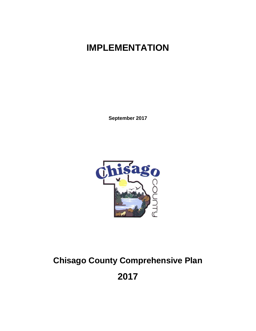# **IMPLEMENTATION**

**September 2017**



# **Chisago County Comprehensive Plan**

**2017**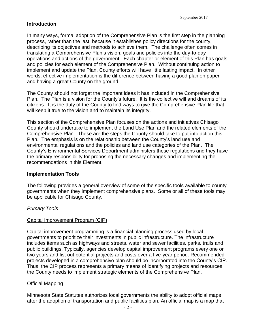# **Introduction**

In many ways, formal adoption of the Comprehensive Plan is the first step in the planning process, rather than the last, because it establishes policy directions for the county, describing its objectives and methods to achieve them. The challenge often comes in translating a Comprehensive Plan's vision, goals and policies into the day-to-day operations and actions of the government. Each chapter or element of this Plan has goals and policies for each element of the Comprehensive Plan. Without continuing action to implement and update the Plan, County efforts will have little lasting impact. In other words, effective implementation is the difference between having a good plan on paper and having a great County on the ground.

The County should not forget the important ideas it has included in the Comprehensive Plan. The Plan is a vision for the County's future. It is the collective will and dreams of its citizens. It is the duty of the County to find ways to give the Comprehensive Plan life that will keep it true to the vision and to maintain its integrity.

This section of the Comprehensive Plan focuses on the actions and initiatives Chisago County should undertake to implement the Land Use Plan and the related elements of the Comprehensive Plan. These are the steps the County should take to put into action this Plan. The emphasis is on the relationship between the County's land use and environmental regulations and the policies and land use categories of the Plan. The County's Environmental Services Department administers these regulations and they have the primary responsibility for proposing the necessary changes and implementing the recommendations in this Element.

## **Implementation Tools**

The following provides a general overview of some of the specific tools available to county governments when they implement comprehensive plans. Some or all of these tools may be applicable for Chisago County.

## *Primary Tools*

#### Capital Improvement Program (CIP)

Capital improvement programming is a financial planning process used by local governments to prioritize their investments in public infrastructure. The infrastructure includes items such as highways and streets, water and sewer facilities, parks, trails and public buildings. Typically, agencies develop capital improvement programs every one or two years and list out potential projects and costs over a five-year period. Recommended projects developed in a comprehensive plan should be incorporated into the County's CIP. Thus, the CIP process represents a primary means of identifying projects and resources the County needs to implement strategic elements of the Comprehensive Plan.

#### Official Mapping

Minnesota State Statutes authorizes local governments the ability to adopt official maps after the adoption of transportation and public facilities plan. An official map is a map that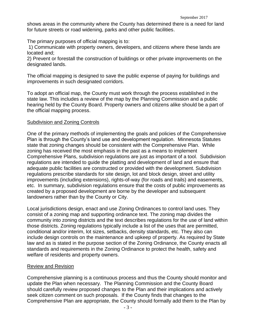shows areas in the community where the County has determined there is a need for land for future streets or road widening, parks and other public facilities.

The primary purposes of official mapping is to:

1) Communicate with property owners, developers, and citizens where these lands are located and;

2) Prevent or forestall the construction of buildings or other private improvements on the designated lands.

The official mapping is designed to save the public expense of paying for buildings and improvements in such designated corridors.

To adopt an official map, the County must work through the process established in the state law. This includes a review of the map by the Planning Commission and a public hearing held by the County Board. Property owners and citizens alike should be a part of the official mapping process.

#### Subdivision and Zoning Controls

One of the primary methods of implementing the goals and policies of the Comprehensive Plan is through the County's land use and development regulation. Minnesota Statutes state that zoning changes should be consistent with the Comprehensive Plan. While zoning has received the most emphasis in the past as a means to implement Comprehensive Plans, subdivision regulations are just as important of a tool. Subdivision regulations are intended to guide the platting and development of land and ensure that adequate public facilities are constructed or provided with the development. Subdivision regulations prescribe standards for site design, lot and block design, street and utility improvements (including extensions), rights-of-way (for roads and trails) and easements, etc. In summary, subdivision regulations ensure that the costs of public improvements as created by a proposed development are borne by the developer and subsequent landowners rather than by the County or City.

Local jurisdictions design, enact and use Zoning Ordinances to control land uses. They consist of a zoning map and supporting ordinance text. The zoning map divides the community into zoning districts and the text describes regulations for the use of land within those districts. Zoning regulations typically include a list of the uses that are permitted, conditional and/or interim, lot sizes, setbacks, density standards, etc. They also can include design controls on the maintenance and upkeep of property. As required by State law and as is stated in the purpose section of the Zoning Ordinance, the County enacts all standards and requirements in the Zoning Ordinance to protect the health, safety and welfare of residents and property owners.

#### Review and Revision

Comprehensive planning is a continuous process and thus the County should monitor and update the Plan when necessary. The Planning Commission and the County Board should carefully review proposed changes to the Plan and their implications and actively seek citizen comment on such proposals. If the County finds that changes to the Comprehensive Plan are appropriate, the County should formally add them to the Plan by